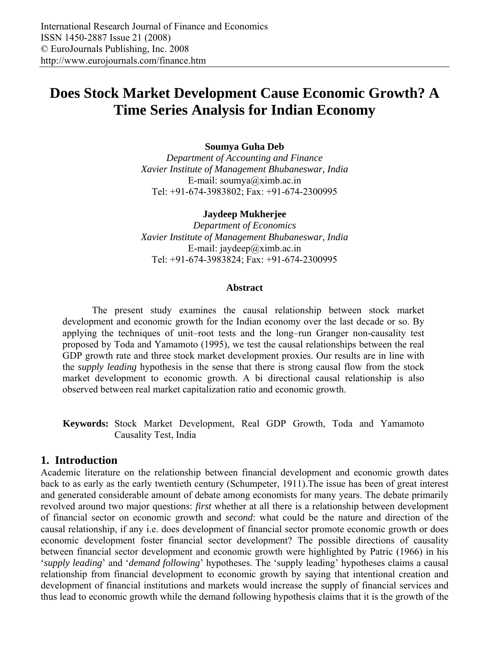# **Does Stock Market Development Cause Economic Growth? A Time Series Analysis for Indian Economy**

## **Soumya Guha Deb**

*Department of Accounting and Finance Xavier Institute of Management Bhubaneswar, India*  E-mail: soumya@ximb.ac.in Tel: +91-674-3983802; Fax: +91-674-2300995

#### **Jaydeep Mukherjee**

*Department of Economics Xavier Institute of Management Bhubaneswar, India*  E-mail: jaydeep $@x$ imb.ac.in Tel: +91-674-3983824; Fax: +91-674-2300995

#### **Abstract**

The present study examines the causal relationship between stock market development and economic growth for the Indian economy over the last decade or so. By applying the techniques of unit–root tests and the long–run Granger non-causality test proposed by Toda and Yamamoto (1995), we test the causal relationships between the real GDP growth rate and three stock market development proxies. Our results are in line with the *supply leading* hypothesis in the sense that there is strong causal flow from the stock market development to economic growth. A bi directional causal relationship is also observed between real market capitalization ratio and economic growth.

**Keywords:** Stock Market Development, Real GDP Growth, Toda and Yamamoto Causality Test, India

# **1. Introduction**

Academic literature on the relationship between financial development and economic growth dates back to as early as the early twentieth century (Schumpeter, 1911).The issue has been of great interest and generated considerable amount of debate among economists for many years. The debate primarily revolved around two major questions: *first* whether at all there is a relationship between development of financial sector on economic growth and *second*: what could be the nature and direction of the causal relationship, if any i.e. does development of financial sector promote economic growth or does economic development foster financial sector development? The possible directions of causality between financial sector development and economic growth were highlighted by Patric (1966) in his '*supply leading*' and '*demand following*' hypotheses. The 'supply leading' hypotheses claims a causal relationship from financial development to economic growth by saying that intentional creation and development of financial institutions and markets would increase the supply of financial services and thus lead to economic growth while the demand following hypothesis claims that it is the growth of the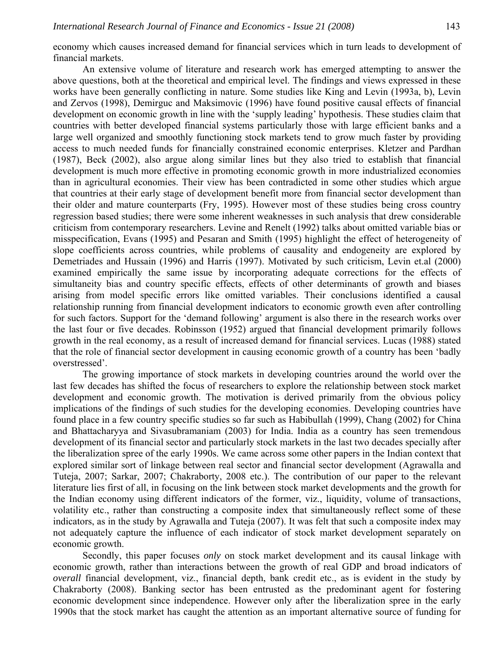economy which causes increased demand for financial services which in turn leads to development of financial markets.

An extensive volume of literature and research work has emerged attempting to answer the above questions, both at the theoretical and empirical level. The findings and views expressed in these works have been generally conflicting in nature. Some studies like King and Levin (1993a, b), Levin and Zervos (1998), Demirguc and Maksimovic (1996) have found positive causal effects of financial development on economic growth in line with the 'supply leading' hypothesis. These studies claim that countries with better developed financial systems particularly those with large efficient banks and a large well organized and smoothly functioning stock markets tend to grow much faster by providing access to much needed funds for financially constrained economic enterprises. Kletzer and Pardhan (1987), Beck (2002), also argue along similar lines but they also tried to establish that financial development is much more effective in promoting economic growth in more industrialized economies than in agricultural economies. Their view has been contradicted in some other studies which argue that countries at their early stage of development benefit more from financial sector development than their older and mature counterparts (Fry, 1995). However most of these studies being cross country regression based studies; there were some inherent weaknesses in such analysis that drew considerable criticism from contemporary researchers. Levine and Renelt (1992) talks about omitted variable bias or misspecification, Evans (1995) and Pesaran and Smith (1995) highlight the effect of heterogeneity of slope coefficients across countries, while problems of causality and endogeneity are explored by Demetriades and Hussain (1996) and Harris (1997). Motivated by such criticism, Levin et.al (2000) examined empirically the same issue by incorporating adequate corrections for the effects of simultaneity bias and country specific effects, effects of other determinants of growth and biases arising from model specific errors like omitted variables. Their conclusions identified a causal relationship running from financial development indicators to economic growth even after controlling for such factors. Support for the 'demand following' argument is also there in the research works over the last four or five decades. Robinsson (1952) argued that financial development primarily follows growth in the real economy, as a result of increased demand for financial services. Lucas (1988) stated that the role of financial sector development in causing economic growth of a country has been 'badly overstressed'.

The growing importance of stock markets in developing countries around the world over the last few decades has shifted the focus of researchers to explore the relationship between stock market development and economic growth. The motivation is derived primarily from the obvious policy implications of the findings of such studies for the developing economies. Developing countries have found place in a few country specific studies so far such as Habibullah (1999), Chang (2002) for China and Bhattacharyya and Sivasubramaniam (2003) for India. India as a country has seen tremendous development of its financial sector and particularly stock markets in the last two decades specially after the liberalization spree of the early 1990s. We came across some other papers in the Indian context that explored similar sort of linkage between real sector and financial sector development (Agrawalla and Tuteja, 2007; Sarkar, 2007; Chakraborty, 2008 etc.). The contribution of our paper to the relevant literature lies first of all, in focusing on the link between stock market developments and the growth for the Indian economy using different indicators of the former, viz., liquidity, volume of transactions, volatility etc., rather than constructing a composite index that simultaneously reflect some of these indicators, as in the study by Agrawalla and Tuteja (2007). It was felt that such a composite index may not adequately capture the influence of each indicator of stock market development separately on economic growth.

Secondly, this paper focuses *only* on stock market development and its causal linkage with economic growth, rather than interactions between the growth of real GDP and broad indicators of *overall* financial development, viz., financial depth, bank credit etc., as is evident in the study by Chakraborty (2008). Banking sector has been entrusted as the predominant agent for fostering economic development since independence. However only after the liberalization spree in the early 1990s that the stock market has caught the attention as an important alternative source of funding for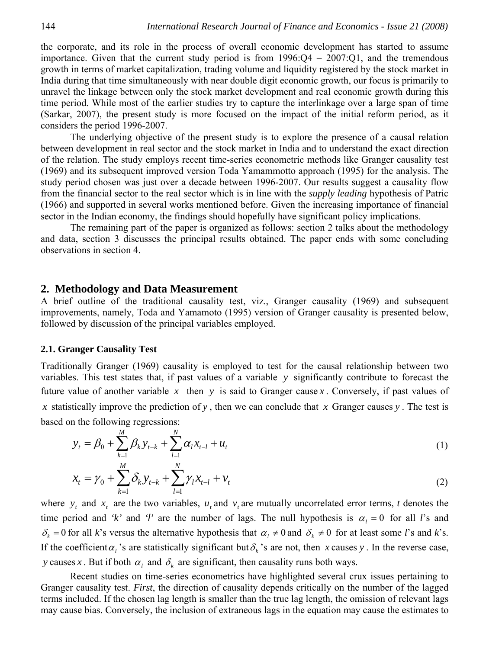the corporate, and its role in the process of overall economic development has started to assume importance. Given that the current study period is from 1996:Q4 – 2007:Q1, and the tremendous growth in terms of market capitalization, trading volume and liquidity registered by the stock market in India during that time simultaneously with near double digit economic growth, our focus is primarily to unravel the linkage between only the stock market development and real economic growth during this time period. While most of the earlier studies try to capture the interlinkage over a large span of time (Sarkar, 2007), the present study is more focused on the impact of the initial reform period, as it considers the period 1996-2007.

The underlying objective of the present study is to explore the presence of a causal relation between development in real sector and the stock market in India and to understand the exact direction of the relation. The study employs recent time-series econometric methods like Granger causality test (1969) and its subsequent improved version Toda Yamammotto approach (1995) for the analysis. The study period chosen was just over a decade between 1996-2007. Our results suggest a causality flow from the financial sector to the real sector which is in line with the *supply leading* hypothesis of Patric (1966) and supported in several works mentioned before. Given the increasing importance of financial sector in the Indian economy, the findings should hopefully have significant policy implications.

The remaining part of the paper is organized as follows: section 2 talks about the methodology and data, section 3 discusses the principal results obtained. The paper ends with some concluding observations in section 4.

# **2. Methodology and Data Measurement**

A brief outline of the traditional causality test, viz., Granger causality (1969) and subsequent improvements, namely, Toda and Yamamoto (1995) version of Granger causality is presented below, followed by discussion of the principal variables employed.

#### **2.1. Granger Causality Test**

Traditionally Granger (1969) causality is employed to test for the causal relationship between two variables. This test states that, if past values of a variable *y* significantly contribute to forecast the future value of another variable  $x$  then  $y$  is said to Granger cause  $x$ . Conversely, if past values of *x* statistically improve the prediction of *y* , then we can conclude that *x* Granger causes *y* . The test is based on the following regressions:

$$
y_{t} = \beta_{0} + \sum_{k=1}^{M} \beta_{k} y_{t-k} + \sum_{l=1}^{N} \alpha_{l} x_{t-l} + u_{t}
$$
 (1)

$$
x_{t} = \gamma_{0} + \sum_{k=1}^{M} \delta_{k} y_{t-k} + \sum_{l=1}^{N} \gamma_{l} x_{t-l} + v_{t}
$$
\n(2)

where  $y_t$  and  $x_t$  are the two variables,  $u_t$  and  $v_t$  are mutually uncorrelated error terms, *t* denotes the time period and 'k' and 'l' are the number of lags. The null hypothesis is  $\alpha_i = 0$  for all *l*'s and  $\delta_k = 0$  for all *k*'s versus the alternative hypothesis that  $\alpha_l \neq 0$  and  $\delta_k \neq 0$  for at least some *l*'s and *k*'s. If the coefficient  $\alpha_i$  's are statistically significant but  $\delta_k$  's are not, then *x* causes *y*. In the reverse case, *y* causes *x*. But if both  $\alpha_l$  and  $\delta_k$  are significant, then causality runs both ways.

Recent studies on time-series econometrics have highlighted several crux issues pertaining to Granger causality test. *First*, the direction of causality depends critically on the number of the lagged terms included. If the chosen lag length is smaller than the true lag length, the omission of relevant lags may cause bias. Conversely, the inclusion of extraneous lags in the equation may cause the estimates to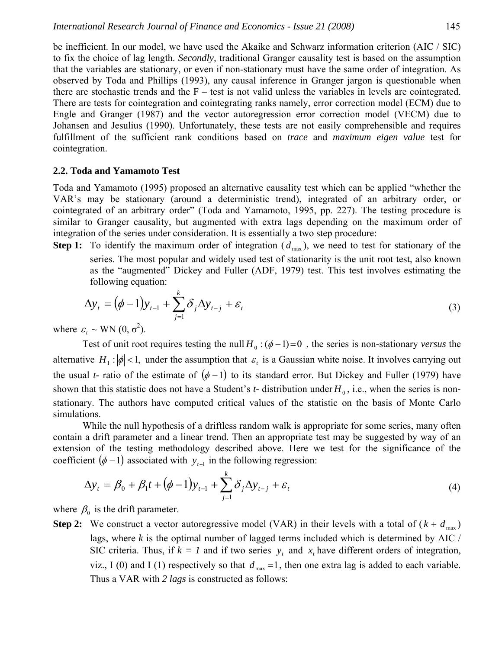be inefficient. In our model, we have used the Akaike and Schwarz information criterion (AIC / SIC) to fix the choice of lag length. *Secondly,* traditional Granger causality test is based on the assumption that the variables are stationary, or even if non-stationary must have the same order of integration. As observed by Toda and Phillips (1993), any causal inference in Granger jargon is questionable when there are stochastic trends and the  $F$  – test is not valid unless the variables in levels are cointegrated. There are tests for cointegration and cointegrating ranks namely, error correction model (ECM) due to Engle and Granger (1987) and the vector autoregression error correction model (VECM) due to Johansen and Jesulius (1990). Unfortunately, these tests are not easily comprehensible and requires fulfillment of the sufficient rank conditions based on *trace* and *maximum eigen value* test for cointegration.

#### **2.2. Toda and Yamamoto Test**

Toda and Yamamoto (1995) proposed an alternative causality test which can be applied "whether the VAR's may be stationary (around a deterministic trend), integrated of an arbitrary order, or cointegrated of an arbitrary order" (Toda and Yamamoto, 1995, pp. 227). The testing procedure is similar to Granger causality, but augmented with extra lags depending on the maximum order of integration of the series under consideration. It is essentially a two step procedure:

**Step 1:** To identify the maximum order of integration  $(d_{\text{max}})$ , we need to test for stationary of the series. The most popular and widely used test of stationarity is the unit root test, also known as the "augmented" Dickey and Fuller (ADF, 1979) test. This test involves estimating the following equation:

$$
\Delta y_t = \left(\phi - 1\right) y_{t-1} + \sum_{j=1}^k \delta_j \Delta y_{t-j} + \varepsilon_t \tag{3}
$$

where  $\varepsilon_t \sim \text{WN}(0, \sigma^2)$ .

Test of unit root requires testing the null  $H_0$  :  $(\phi - 1) = 0$ , the series is non-stationary *versus* the alternative  $H_1$ :  $|\phi|$  < 1, under the assumption that  $\varepsilon_t$  is a Gaussian white noise. It involves carrying out the usual *t*- ratio of the estimate of  $(\phi - 1)$  to its standard error. But Dickey and Fuller (1979) have shown that this statistic does not have a Student's  $t$ - distribution under  $H_0$ , i.e., when the series is nonstationary. The authors have computed critical values of the statistic on the basis of Monte Carlo simulations.

While the null hypothesis of a driftless random walk is appropriate for some series, many often contain a drift parameter and a linear trend. Then an appropriate test may be suggested by way of an extension of the testing methodology described above. Here we test for the significance of the coefficient  $(φ -1)$  associated with  $y_{t-1}$  in the following regression:

$$
\Delta y_{t} = \beta_{0} + \beta_{1}t + (\phi - 1)y_{t-1} + \sum_{j=1}^{k} \delta_{j} \Delta y_{t-j} + \varepsilon_{t}
$$
\n(4)

where  $\beta_0$  is the drift parameter.

**Step 2:** We construct a vector autoregressive model (VAR) in their levels with a total of  $(k + d_{\text{max}})$ lags, where  $k$  is the optimal number of lagged terms included which is determined by AIC  $\ell$ SIC criteria. Thus, if  $k = 1$  and if two series  $y_t$ , and  $x_t$  have different orders of integration, viz., I (0) and I (1) respectively so that  $d_{\text{max}} = 1$ , then one extra lag is added to each variable. Thus a VAR with *2 lags* is constructed as follows: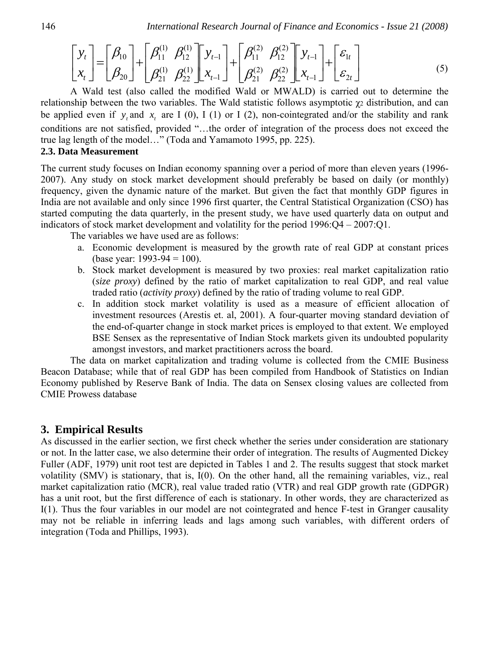$$
\begin{bmatrix} y_t \\ x_t \end{bmatrix} = \begin{bmatrix} \beta_{10} \\ \beta_{20} \end{bmatrix} + \begin{bmatrix} \beta_{11}^{(1)} & \beta_{12}^{(1)} \\ \beta_{21}^{(1)} & \beta_{22}^{(1)} \end{bmatrix} \begin{bmatrix} y_{t-1} \\ x_{t-1} \end{bmatrix} + \begin{bmatrix} \beta_{11}^{(2)} & \beta_{12}^{(2)} \\ \beta_{21}^{(2)} & \beta_{22}^{(2)} \end{bmatrix} \begin{bmatrix} y_{t-1} \\ x_{t-1} \end{bmatrix} + \begin{bmatrix} \varepsilon_{1t} \\ \varepsilon_{2t} \end{bmatrix}
$$
 (5)

A Wald test (also called the modified Wald or MWALD) is carried out to determine the relationship between the two variables. The Wald statistic follows asymptotic  $\chi_2$  distribution, and can be applied even if  $y_t$  and  $x_t$  are I (0), I (1) or I (2), non-cointegrated and/or the stability and rank conditions are not satisfied, provided "…the order of integration of the process does not exceed the true lag length of the model…" (Toda and Yamamoto 1995, pp. 225).

## **2.3. Data Measurement**

The current study focuses on Indian economy spanning over a period of more than eleven years (1996- 2007). Any study on stock market development should preferably be based on daily (or monthly) frequency, given the dynamic nature of the market. But given the fact that monthly GDP figures in India are not available and only since 1996 first quarter, the Central Statistical Organization (CSO) has started computing the data quarterly, in the present study, we have used quarterly data on output and indicators of stock market development and volatility for the period 1996:Q4 – 2007:Q1.

The variables we have used are as follows:

- a. Economic development is measured by the growth rate of real GDP at constant prices (base year: 1993-94 = 100).
- b. Stock market development is measured by two proxies: real market capitalization ratio (*size proxy*) defined by the ratio of market capitalization to real GDP, and real value traded ratio (*activity proxy*) defined by the ratio of trading volume to real GDP.
- c. In addition stock market volatility is used as a measure of efficient allocation of investment resources (Arestis et. al, 2001). A four-quarter moving standard deviation of the end-of-quarter change in stock market prices is employed to that extent. We employed BSE Sensex as the representative of Indian Stock markets given its undoubted popularity amongst investors, and market practitioners across the board.

The data on market capitalization and trading volume is collected from the CMIE Business Beacon Database; while that of real GDP has been compiled from Handbook of Statistics on Indian Economy published by Reserve Bank of India. The data on Sensex closing values are collected from CMIE Prowess database

# **3. Empirical Results**

As discussed in the earlier section, we first check whether the series under consideration are stationary or not. In the latter case, we also determine their order of integration. The results of Augmented Dickey Fuller (ADF, 1979) unit root test are depicted in Tables 1 and 2. The results suggest that stock market volatility (SMV) is stationary, that is, I(0). On the other hand, all the remaining variables, viz., real market capitalization ratio (MCR), real value traded ratio (VTR) and real GDP growth rate (GDPGR) has a unit root, but the first difference of each is stationary. In other words, they are characterized as I(1). Thus the four variables in our model are not cointegrated and hence F-test in Granger causality may not be reliable in inferring leads and lags among such variables, with different orders of integration (Toda and Phillips, 1993).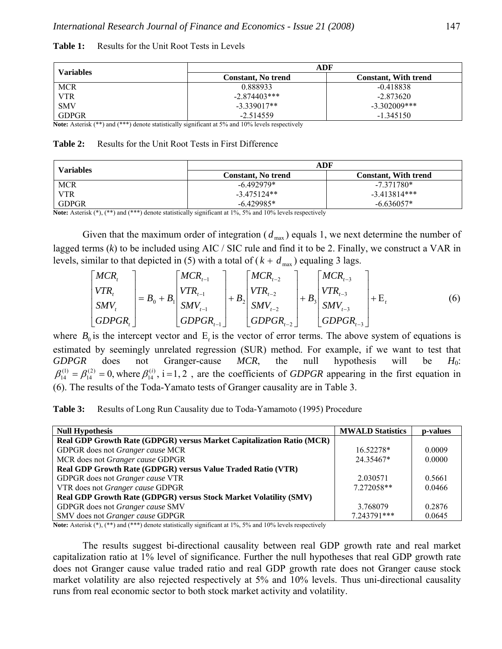| Variables    | ADF                       |                             |  |
|--------------|---------------------------|-----------------------------|--|
|              | <b>Constant.</b> No trend | <b>Constant. With trend</b> |  |
| <b>MCR</b>   | 0.888933                  | $-0.418838$                 |  |
| <b>VTR</b>   | $-2.874403***$            | $-2.873620$                 |  |
| <b>SMV</b>   | $-3.339017**$             | $-3.302009$ ***             |  |
| <b>GDPGR</b> | $-2.514559$               | $-1.345150$                 |  |

#### Table 1: Results for the Unit Root Tests in Levels

**Note:** Asterisk (\*\*) and (\*\*\*) denote statistically significant at 5% and 10% levels respectively

#### **Table 2:** Results for the Unit Root Tests in First Difference

| <b>Variables</b>  | ADF                           |                             |  |
|-------------------|-------------------------------|-----------------------------|--|
|                   | <b>Constant.</b> No trend     | <b>Constant. With trend</b> |  |
| <b>MCR</b>        | $-6.492979*$                  | $-7.371780*$                |  |
| <b>VTR</b>        | $-3,475124**$                 | $-3.413814***$              |  |
| <b>GDPGR</b><br>. | $-6.429985*$<br>$\sim$ $\sim$ | $-6.636057*$                |  |

**Note:** Asterisk (\*), (\*\*) and (\*\*\*) denote statistically significant at 1%, 5% and 10% levels respectively

Given that the maximum order of integration  $(d_{\text{max}})$  equals 1, we next determine the number of lagged terms (*k*) to be included using AIC / SIC rule and find it to be 2. Finally, we construct a VAR in levels, similar to that depicted in (5) with a total of  $(k + d_{\text{max}})$  equaling 3 lags.

$$
\begin{bmatrix}\nMCR_t \\
VTR_t \\
SMV_t \\
GDPGR_t\n\end{bmatrix} = B_0 + B_1 \begin{bmatrix}\nMCR_{t-1} \\
VTR_{t-1} \\
SMV_{t-1} \\
GDPGR_{t-1}\n\end{bmatrix} + B_2 \begin{bmatrix}\nMCR_{t-2} \\
VTR_{t-2} \\
SMV_{t-2} \\
GDPGR_{t-2}\n\end{bmatrix} + B_3 \begin{bmatrix}\nMCR_{t-3} \\
VTR_{t-3} \\
SMV_{t-3} \\
GDPGR_{t-3}\n\end{bmatrix} + E_t
$$
\n(6)

where  $B_0$  is the intercept vector and  $E_t$  is the vector of error terms. The above system of equations is estimated by seemingly unrelated regression (SUR) method. For example, if we want to test that *GDPGR* does not Granger-cause *MCR*, the null hypothesis will be *H*0:  $\beta_{14}^{(1)} = \beta_{14}^{(2)} = 0$ , where  $\beta_{14}^{(i)}$ , i=1,2, are the coefficients of *GDPGR* appearing in the first equation in (6). The results of the Toda-Yamato tests of Granger causality are in Table 3.

**Table 3:** Results of Long Run Causality due to Toda-Yamamoto (1995) Procedure

| <b>Null Hypothesis</b>                                                       | <b>MWALD Statistics</b> | p-values |
|------------------------------------------------------------------------------|-------------------------|----------|
| <b>Real GDP Growth Rate (GDPGR) versus Market Capitalization Ratio (MCR)</b> |                         |          |
| GDPGR does not Granger cause MCR                                             | 16.52278*               | 0.0009   |
| MCR does not Granger cause GDPGR                                             | 24.35467*               | 0.0000   |
| Real GDP Growth Rate (GDPGR) versus Value Traded Ratio (VTR)                 |                         |          |
| GDPGR does not Granger cause VTR                                             | 2.030571                | 0.5661   |
| VTR does not Granger cause GDPGR                                             | 7.272058**              | 0.0466   |
| Real GDP Growth Rate (GDPGR) versus Stock Market Volatility (SMV)            |                         |          |
| GDPGR does not Granger cause SMV                                             | 3.768079                | 0.2876   |
| SMV does not Granger cause GDPGR                                             | 7.243791***             | 0.0645   |

Note: Asterisk  $(*)$ ,  $(**)$  and  $(**)$  denote statistically significant at 1%, 5% and 10% levels respectively

The results suggest bi-directional causality between real GDP growth rate and real market capitalization ratio at 1% level of significance. Further the null hypotheses that real GDP growth rate does not Granger cause value traded ratio and real GDP growth rate does not Granger cause stock market volatility are also rejected respectively at 5% and 10% levels. Thus uni-directional causality runs from real economic sector to both stock market activity and volatility.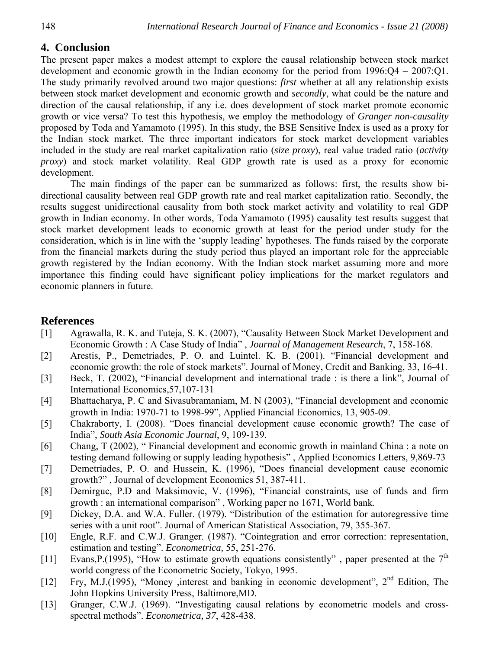# **4. Conclusion**

The present paper makes a modest attempt to explore the causal relationship between stock market development and economic growth in the Indian economy for the period from 1996:Q4 – 2007:Q1. The study primarily revolved around two major questions: *first* whether at all any relationship exists between stock market development and economic growth and *secondly*, what could be the nature and direction of the causal relationship, if any i.e. does development of stock market promote economic growth or vice versa? To test this hypothesis, we employ the methodology of *Granger non-causality* proposed by Toda and Yamamoto (1995). In this study, the BSE Sensitive Index is used as a proxy for the Indian stock market. The three important indicators for stock market development variables included in the study are real market capitalization ratio (*size proxy*), real value traded ratio (*activity proxy*) and stock market volatility. Real GDP growth rate is used as a proxy for economic development.

The main findings of the paper can be summarized as follows: first, the results show bidirectional causality between real GDP growth rate and real market capitalization ratio. Secondly, the results suggest unidirectional causality from both stock market activity and volatility to real GDP growth in Indian economy. In other words, Toda Yamamoto (1995) causality test results suggest that stock market development leads to economic growth at least for the period under study for the consideration, which is in line with the 'supply leading' hypotheses. The funds raised by the corporate from the financial markets during the study period thus played an important role for the appreciable growth registered by the Indian economy. With the Indian stock market assuming more and more importance this finding could have significant policy implications for the market regulators and economic planners in future.

# **References**

- [1] Agrawalla, R. K. and Tuteja, S. K. (2007), "Causality Between Stock Market Development and Economic Growth : A Case Study of India" , *Journal of Management Research*, 7, 158-168.
- [2] Arestis, P., Demetriades, P. O. and Luintel. K. B. (2001). "Financial development and economic growth: the role of stock markets". Journal of Money, Credit and Banking, 33, 16-41.
- [3] Beck, T. (2002), "Financial development and international trade : is there a link", Journal of International Economics,57,107-131
- [4] Bhattacharya, P. C and Sivasubramaniam, M. N (2003), "Financial development and economic growth in India: 1970-71 to 1998-99", Applied Financial Economics, 13, 905-09.
- [5] Chakraborty, I. (2008). "Does financial development cause economic growth? The case of India", *South Asia Economic Journal*, 9, 109-139.
- [6] Chang, T (2002), " Financial development and economic growth in mainland China : a note on testing demand following or supply leading hypothesis" , Applied Economics Letters, 9,869-73
- [7] Demetriades, P. O. and Hussein, K. (1996), "Does financial development cause economic growth?" , Journal of development Economics 51, 387-411.
- [8] Demirguc, P.D and Maksimovic, V. (1996), "Financial constraints, use of funds and firm growth : an international comparison" , Working paper no 1671, World bank.
- [9] Dickey, D.A. and W.A. Fuller. (1979). "Distribution of the estimation for autoregressive time series with a unit root". Journal of American Statistical Association, 79, 355-367.
- [10] Engle, R.F. and C.W.J. Granger. (1987). "Cointegration and error correction: representation, estimation and testing". *Econometrica,* 55, 251-276.
- [11] Evans, P.(1995), "How to estimate growth equations consistently", paper presented at the  $7<sup>th</sup>$ world congress of the Econometric Society, Tokyo, 1995.
- [12] Fry, M.J.(1995), "Money ,interest and banking in economic development", 2<sup>nd</sup> Edition, The John Hopkins University Press, Baltimore,MD.
- [13] Granger, C.W.J. (1969). "Investigating causal relations by econometric models and crossspectral methods". *Econometrica, 37*, 428-438.